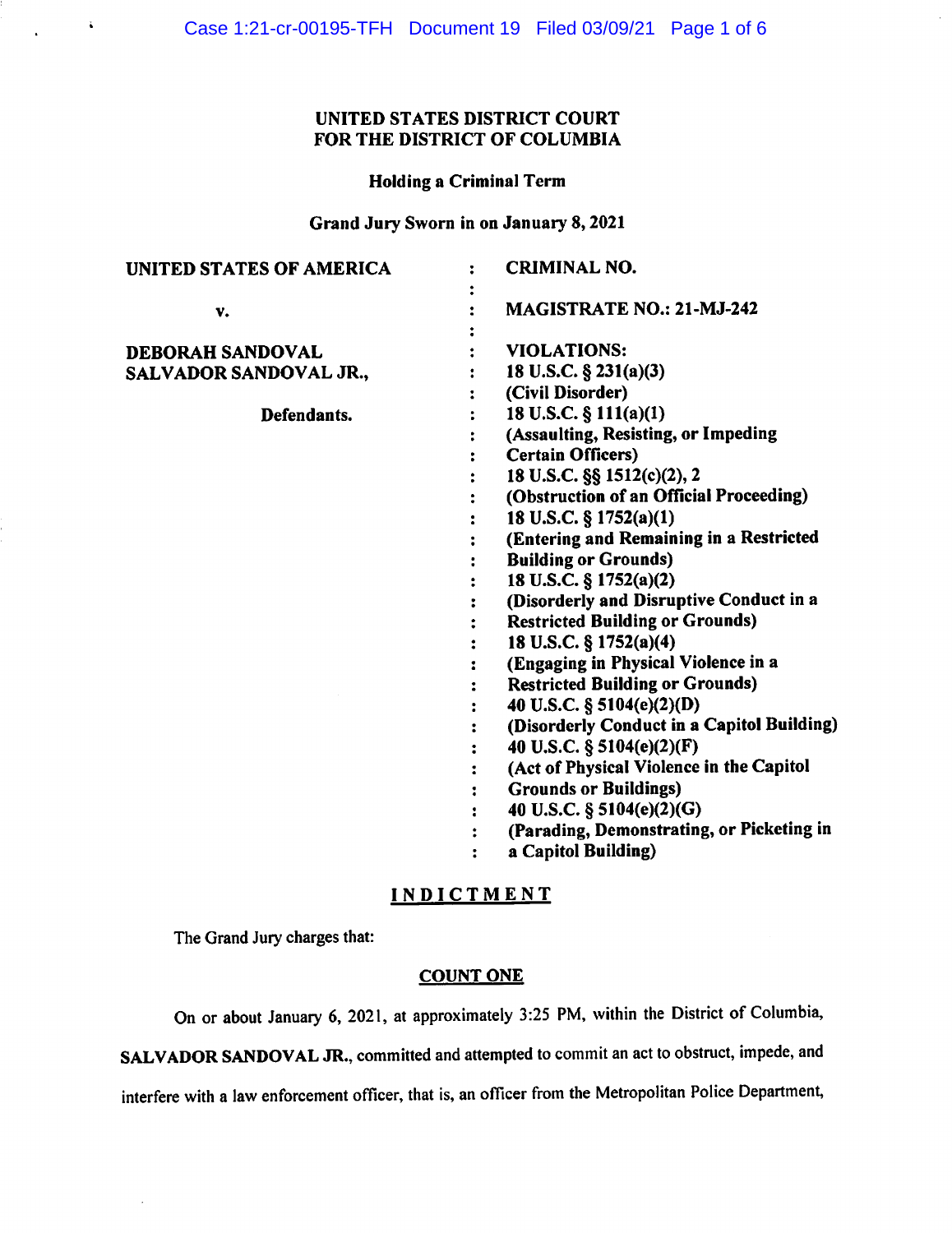# UNITED STATES DISTRICT COURT FOR THE DISTRICT OF COLUMBIA

### Holding a Criminal Term

Grand Jury Sworn in on January 8, 2021

| UNITED STATES OF AMERICA | <b>CRIMINAL NO.</b>                                               |
|--------------------------|-------------------------------------------------------------------|
| v.                       | MAGISTRATE NO.: 21-MJ-242                                         |
| DEBORAH SANDOVAL         | <b>VIOLATIONS:</b>                                                |
| SALVADOR SANDOVAL JR.,   | 18 U.S.C. $\S$ 231(a)(3)                                          |
|                          | (Civil Disorder)                                                  |
| Defendants.              | 18 U.S.C. § 111(a)(1)                                             |
|                          | (Assaulting, Resisting, or Impeding                               |
|                          | <b>Certain Officers)</b>                                          |
|                          | 18 U.S.C. §§ 1512(c)(2), 2                                        |
|                          | (Obstruction of an Official Proceeding)                           |
|                          | 18 U.S.C. § 1752(a)(1)                                            |
|                          | (Entering and Remaining in a Restricted                           |
|                          | <b>Building or Grounds)</b>                                       |
|                          | 18 U.S.C. § 1752(a)(2)                                            |
|                          | (Disorderly and Disruptive Conduct in a                           |
|                          | <b>Restricted Building or Grounds)</b>                            |
|                          | 18 U.S.C. § 1752(a)(4)                                            |
|                          | (Engaging in Physical Violence in a                               |
|                          | <b>Restricted Building or Grounds)</b>                            |
|                          | 40 U.S.C. § 5104(e)(2)(D)                                         |
|                          | (Disorderly Conduct in a Capitol Building)                        |
|                          | 40 U.S.C. § 5104(e)(2)(F)                                         |
|                          | (Act of Physical Violence in the Capitol                          |
|                          | <b>Grounds or Buildings)</b>                                      |
|                          | 40 U.S.C. § 5104(e)(2)(G)                                         |
|                          | (Parading, Demonstrating, or Picketing in<br>$\ddot{\phantom{a}}$ |
|                          | a Capitol Building)                                               |
|                          |                                                                   |

# INDICTMENT

The Grand Jury charges that:

š,

### COUNT ONE

On or about January 6, 2021, at approximately 3:25 PM, within the District of Columbia,

SALVADOR SANDOVAL JR., committed and attempted to commit an act to obstruct, impede, and

interfere with a law enforcement officer, that is, an officer from the Metropolitan Police Department,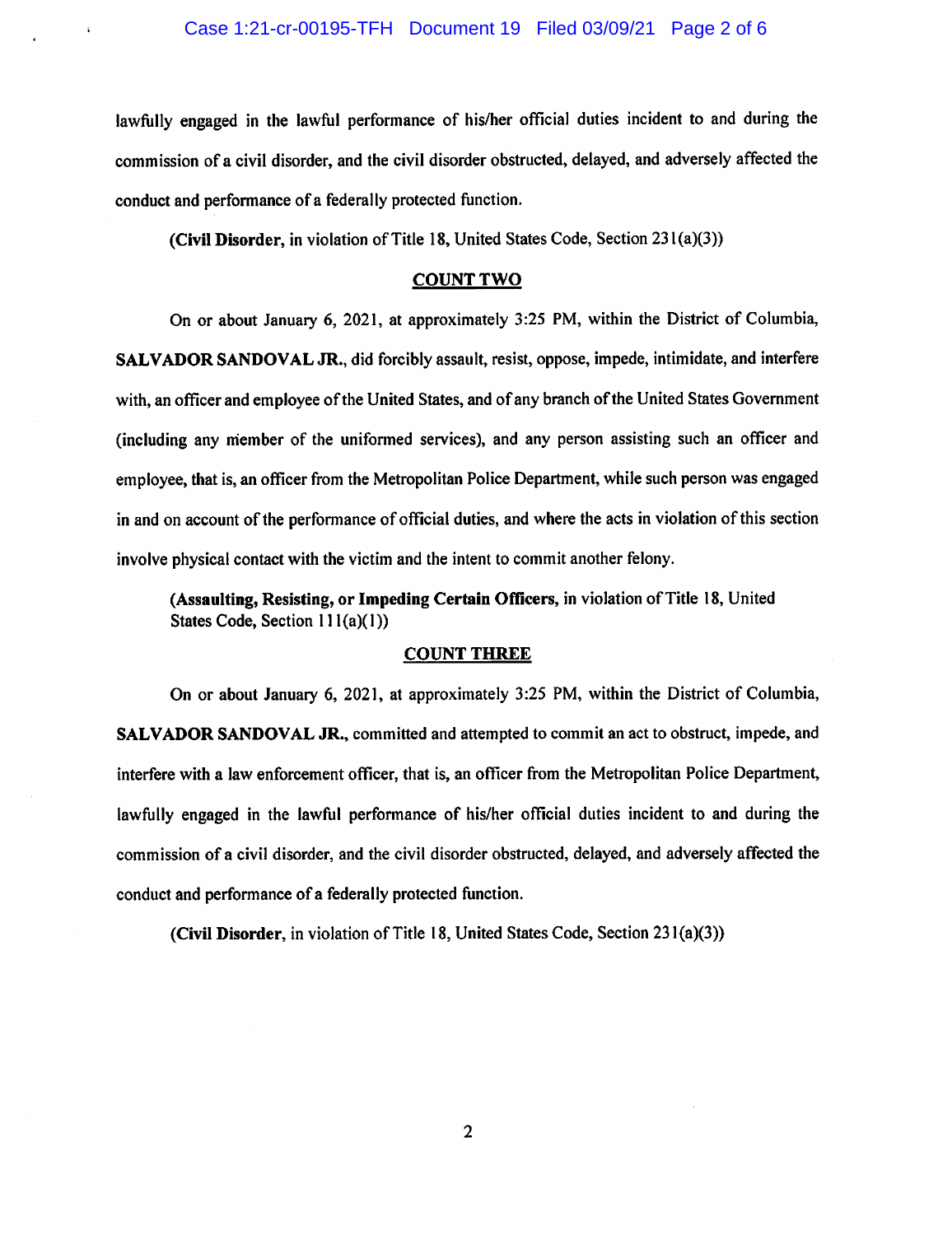lawfully engaged in the lawful performance of his/her official duties incident to and during the commission of a civil disorder, and the civil disorder obstructed, delayed, and adversely affected the conduct and performance of a federally protected function.

**(Civil Disorder,** in violation of Title 18, United States Code, Section 231 (a)(3))

#### **COUNTTWO**

On or about January 6, 2021, at approximately 3:25 PM, within the District of Columbia, **SALVADOR SANDOVAL JR., did** forcibly assault, resist, oppose, impede, intimidate, and interfere with, an officer and employee of the United States, and of any branch of the United States Government (including any member of the uniformed services), and any person assisting such an officer and employee, that is, an officer from the Metropolitan Police Department, while such person was engaged in and on account of the performance of official duties, and where the acts in violation of this section involve physical contact with the victim and the intent to commit another felony.

**(Assaulting, Resisting, or Impeding Certain Officers,** in violation of Title 18, United States Code, Section  $11(a)(1)$ )

### **COUNT THREE**

On or about January 6, 2021, at approximately 3:25 PM, within the District of Columbia, **SALVADOR SANDOVAL JR.,** committed and attempted to commit an act to obstruct, impede, and interfere with a law enforcement officer, that is, an officer from the Metropolitan Police Department, lawfully engaged in the lawful performance of his/her official duties incident to and during the commission of a civil disorder, and the civil disorder obstructed, delayed, and adversely affected the conduct and performance of a federally protected function.

**(Civil Disorder,** in violation of Title 18, United States Code, Section 231 (a)(3))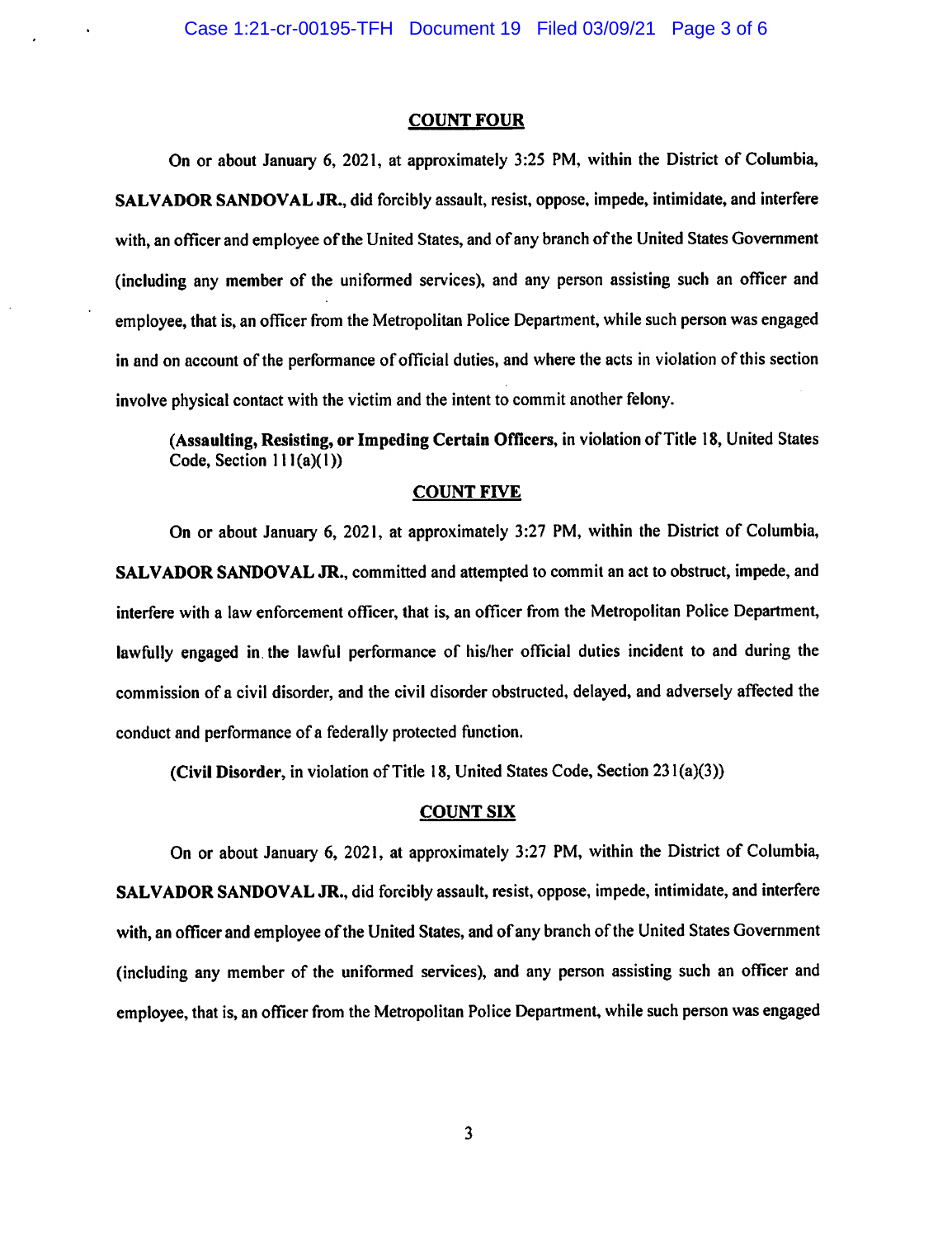#### **COUNT FOUR**

On or about January 6, 2021, at approximately 3:25 PM, within the District of Columbia, **SALVADOR SANDOVAL JR.,** did forcibly assault, resist, oppose, impede, intimidate, and interfere with, an officer and employee of the United States, and of any branch of the United States Government (including any member of the uniformed services), and any person assisting such an officer and employee, that is, an officer from the Metropolitan Police Department, while such person was engaged in and on account of the performance of official duties, and where the acts in violation of this section involve physical contact with the victim and the intent to commit another felony.

**(Assaulting, Resisting, or Impeding Certain Officers,** in violation of Title 18, United States Code, Section  $111(a)(1)$ )

#### **COUNT FIVE**

On or about January 6, 2021, at approximately 3:27 PM, within the District of Columbia, **SALVADOR SANDOVAL JR.,** committed and attempted to commit an act to obstruct, impede, and interfere with a law enforcement officer, that is, an officer from the Metropolitan Police Department, lawfully engaged in. the lawful performance of his/her official duties incident to and during the commission of a civil disorder, and the civil disorder obstructed, delayed, and adversely affected the conduct and performance of a federally protected function.

**(Civil Disorder,** in violation of Title 18, United States Code, Section 23 l(a)(3))

#### **COUNT SIX**

On or about January 6, 2021, at approximately 3:27 PM, within the District of Columbia, **SALVADOR SANDOVAL JR.,** did forcibly assault, resist, oppose, impede, intimidate, and interfere with, an officer and employee of the United States, and of any branch of the United States Government (including any member of the uniformed services), and any person assisting such an officer and employee, that is, an officer from the Metropolitan Police Department, while such person was engaged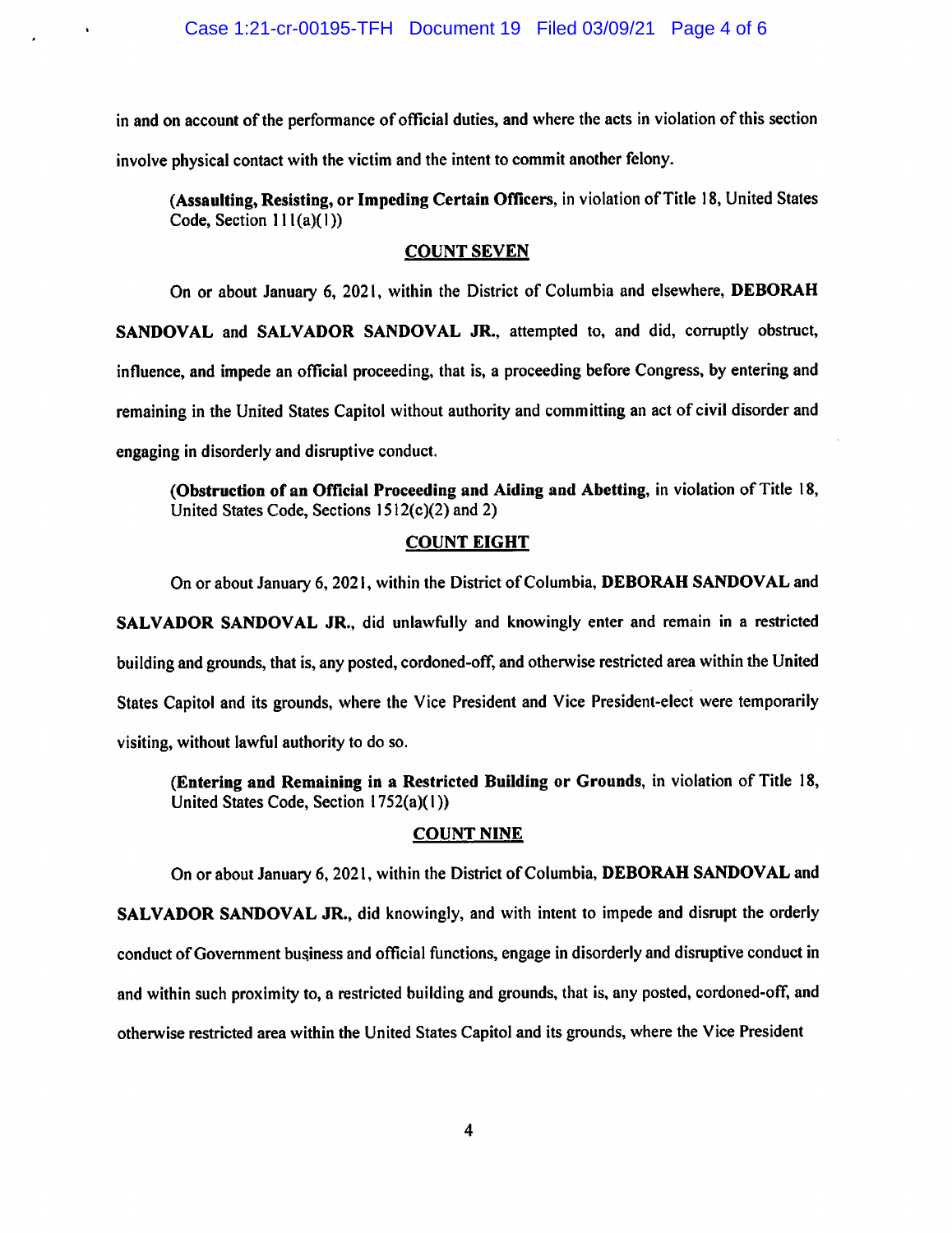in and on account of the perfonnance of official duties, and where the acts in violation of this section involve physical contact with the victim and the intent to commit another felony.

**(Assaulting, Resisting, or Impeding Certain Officers,** in violation of Title 18, United States Code, Section  $111(a)(1)$ )

### **COUNT SEVEN**

On or about January 6, 2021, within the District of Columbia and elsewhere, **DEBORAH SANDOVAL** and **SALVADOR SANDOVAL JR.,** attempted to, and did, corruptly obstruct, influence, and impede an official proceeding, that is, a proceeding before Congress, by entering and remaining in the United States Capitol without authority and committing an act of civil disorder and engaging in disorderly and disruptive conduct.

**(Obstruction of an Official Proceeding and Aiding and Abetting,** in violation of Title 18, United States Code, Sections  $1512(c)(2)$  and 2)

### **COUNT EIGHT**

On or about January 6, 2021, within the District of Columbia, **DEBORAH SANDOVAL** and **SALVADOR SANDOVAL JR.,** did unlawfully and knowingly enter and remain in a restricted building and grounds, that is, any posted, cordoned-off, and otherwise restricted area within the United States Capitol and its grounds, where the Vice President and Vice President-elect were temporarily visiting, without lawful authority to do so.

**(Entering and Remaining in a Restricted Building or Grounds,** in violation of Title 18, United States Code, Section 1752(a)(I))

### **COUNT NINE**

On or about January 6, 2021, within the District of Columbia, **DEBORAH SANDOVAL** and **SALVADOR SANDOVAL JR.,** did knowingly, and with intent to impede and disrupt the orderly

conduct of Government business and official functions, engage in disorderly and disruptive conduct in and within such proximity to, a restricted building and grounds, that is, any posted, cordoned-off, and otherwise restricted area within the United States Capitol and its grounds, where the Vice President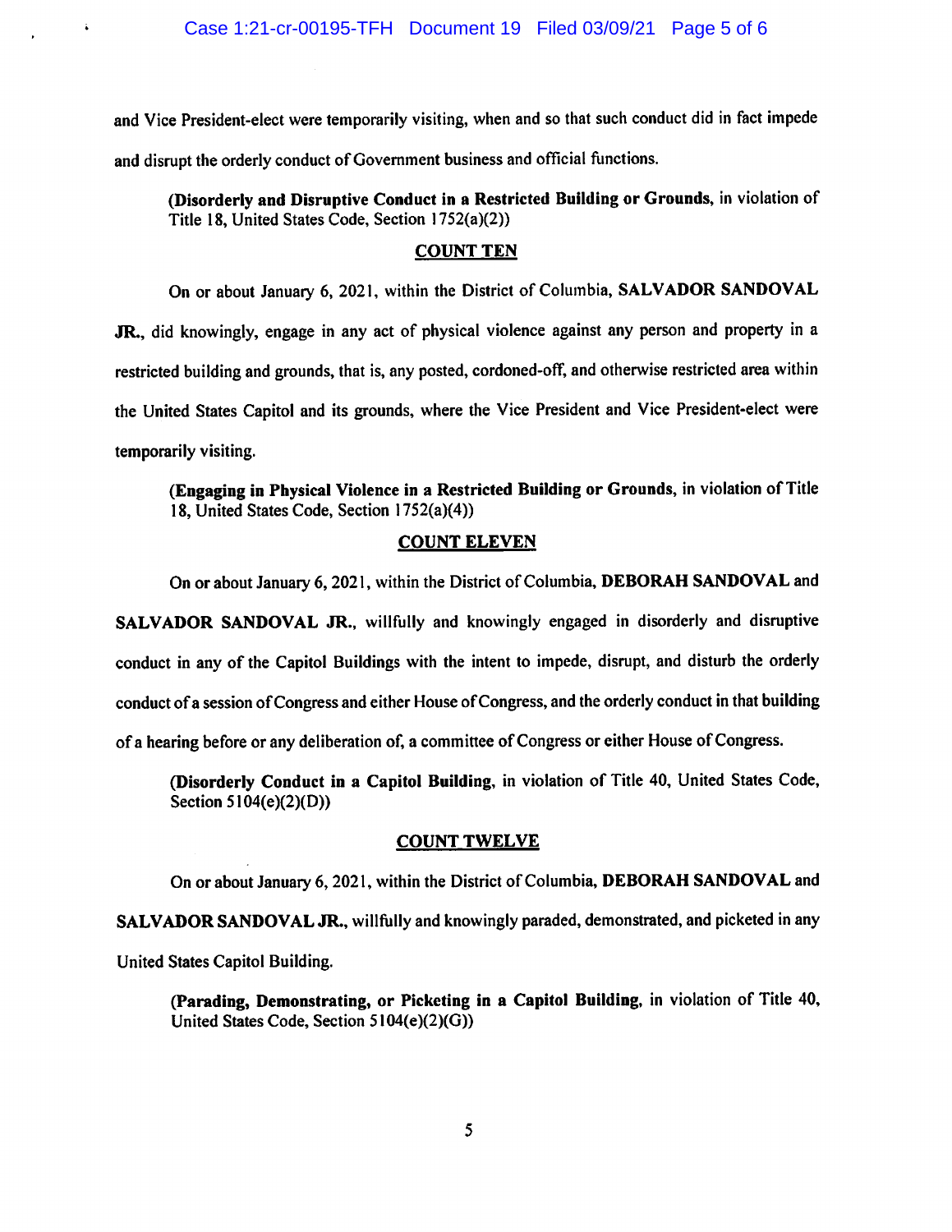$\ddot{\phantom{a}}$ 

and Vice President-elect were temporarily visiting, when and so that such conduct did in fact impede and disrupt the orderly conduct of Government business and official functions.

**(Disorderly and Disruptive Conduct in a Restricted Building or Grounds,** in violation of Title 18, United States Code, Section 1752(a)(2))

### **COUNT TEN**

On or about January 6, 2021, within the District of Columbia, **SALVADOR SANDOVAL JR.,** did knowingly, engage in any act of physical violence against any person and property in <sup>a</sup>

restricted building and grounds, that is, any posted, cordoned-off, and otherwise restricted area within the United States Capitol and its grounds, where the Vice President and Vice President-elect were temporarily visiting.

**(Engaging in Physical Violence in a Restricted Building or Grounds,** in violation of Title 18, United States Code, Section 1752(a)(4))

# **COUNT ELEVEN**

On or about January 6, 2021, within the District of Columbia, **DEBORAH SANDOVAL** and

**SALVADOR SANDOVAL JR.,** willfully and knowingly engaged in disorderly and disruptive conduct in any of the Capitol Buildings with the intent to impede, disrupt, and disturb the orderly conduct of a session of Congress and either House of Congress, and the orderly conduct in that building of a hearing before or any deliberation of, a committee of Congress or either House of Congress.

**(Disorderly Conduct in a Capitol Building,** in violation of Title 40, United States Code, Section 5104(e)(2)(D))

### **COUNT TWELVE**

On or about January 6, 2021, within the District of Columbia, **DEBORAH SANDOVAL** and

**SALVADOR SANDOVAL JR.,** willfully and knowingly paraded, demonstrated, and picketed in any United States Capitol Building.

**(Parading, Demonstrating, or Picketing in a Capitol Building,** in violation of Title 40, United States Code, Section 5104(e)(2)(G))